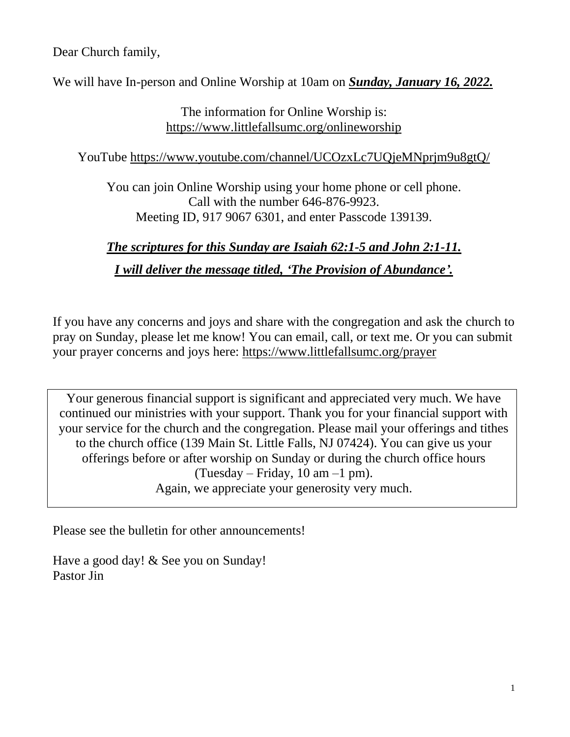Dear Church family,

We will have In-person and Online Worship at 10am on *Sunday, January 16, 2022.*

#### The information for Online Worship is: <https://www.littlefallsumc.org/onlineworship>

YouTube<https://www.youtube.com/channel/UCOzxLc7UQjeMNprjm9u8gtQ/>

You can join Online Worship using your home phone or cell phone. Call with the number 646-876-9923. Meeting ID, 917 9067 6301, and enter Passcode 139139.

# *The scriptures for this Sunday are Isaiah 62:1-5 and John 2:1-11.*

*I will deliver the message titled, 'The Provision of Abundance'.*

If you have any concerns and joys and share with the congregation and ask the church to pray on Sunday, please let me know! You can email, call, or text me. Or you can submit your prayer concerns and joys here: <https://www.littlefallsumc.org/prayer>

Your generous financial support is significant and appreciated very much. We have continued our ministries with your support. Thank you for your financial support with your service for the church and the congregation. Please mail your offerings and tithes to the church office (139 Main St. Little Falls, NJ 07424). You can give us your offerings before or after worship on Sunday or during the church office hours (Tuesday – Friday, 10 am –1 pm). Again, we appreciate your generosity very much.

Please see the bulletin for other announcements!

Have a good day! & See you on Sunday! Pastor Jin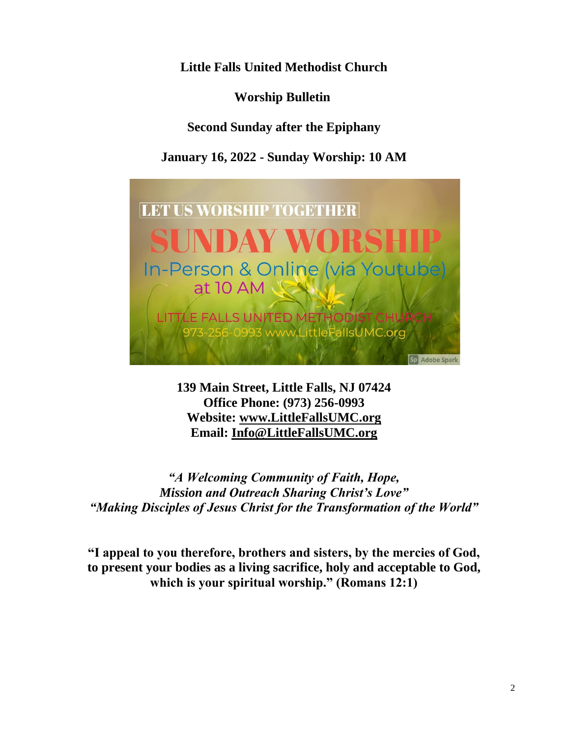**Little Falls United Methodist Church**

**Worship Bulletin**

**Second Sunday after the Epiphany**

**January 16, 2022 - Sunday Worship: 10 AM**



**139 Main Street, Little Falls, NJ 07424 Office Phone: (973) 256-0993 Website: [www.LittleFallsUMC.org](http://www.littlefallsumc.org/) Email: [Info@LittleFallsUMC.org](mailto:Info@LittleFallsUMC.org)**

*"A Welcoming Community of Faith, Hope, Mission and Outreach Sharing Christ's Love" "Making Disciples of Jesus Christ for the Transformation of the World"*

**"I appeal to you therefore, brothers and sisters, by the mercies of God, to present your bodies as a living sacrifice, holy and acceptable to God, which is your spiritual worship." (Romans 12:1)**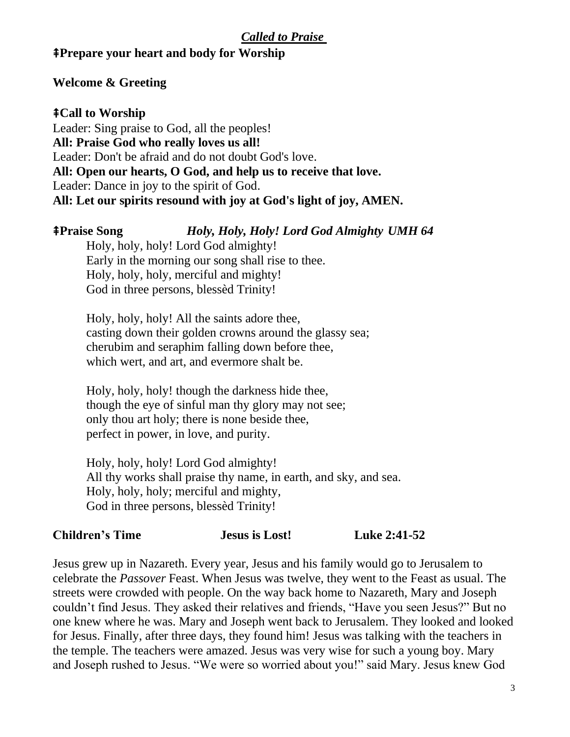## *Called to Praise*

# ⭻**Prepare your heart and body for Worship**

# **Welcome & Greeting**

# ⭻**Call to Worship**

Leader: Sing praise to God, all the peoples! **All: Praise God who really loves us all!** Leader: Don't be afraid and do not doubt God's love. **All: Open our hearts, O God, and help us to receive that love.** Leader: Dance in joy to the spirit of God. **All: Let our spirits resound with joy at God's light of joy, AMEN.**

# ⭻**Praise Song** *Holy, Holy, Holy! Lord God Almighty UMH 64*

Holy, holy, holy! Lord God almighty! Early in the morning our song shall rise to thee. Holy, holy, holy, merciful and mighty! God in three persons, blessèd Trinity!

Holy, holy, holy! All the saints adore thee, casting down their golden crowns around the glassy sea; cherubim and seraphim falling down before thee, which wert, and art, and evermore shalt be.

Holy, holy, holy! though the darkness hide thee, though the eye of sinful man thy glory may not see; only thou art holy; there is none beside thee, perfect in power, in love, and purity.

Holy, holy, holy! Lord God almighty! All thy works shall praise thy name, in earth, and sky, and sea. Holy, holy, holy; merciful and mighty, God in three persons, blessèd Trinity!

# **Children's Time Jesus is Lost! Luke 2:41-52**

Jesus grew up in Nazareth. Every year, Jesus and his family would go to Jerusalem to celebrate the *Passover* Feast. When Jesus was twelve, they went to the Feast as usual. The streets were crowded with people. On the way back home to Nazareth, Mary and Joseph couldn't find Jesus. They asked their relatives and friends, "Have you seen Jesus?" But no one knew where he was. Mary and Joseph went back to Jerusalem. They looked and looked for Jesus. Finally, after three days, they found him! Jesus was talking with the teachers in the temple. The teachers were amazed. Jesus was very wise for such a young boy. Mary and Joseph rushed to Jesus. "We were so worried about you!" said Mary. Jesus knew God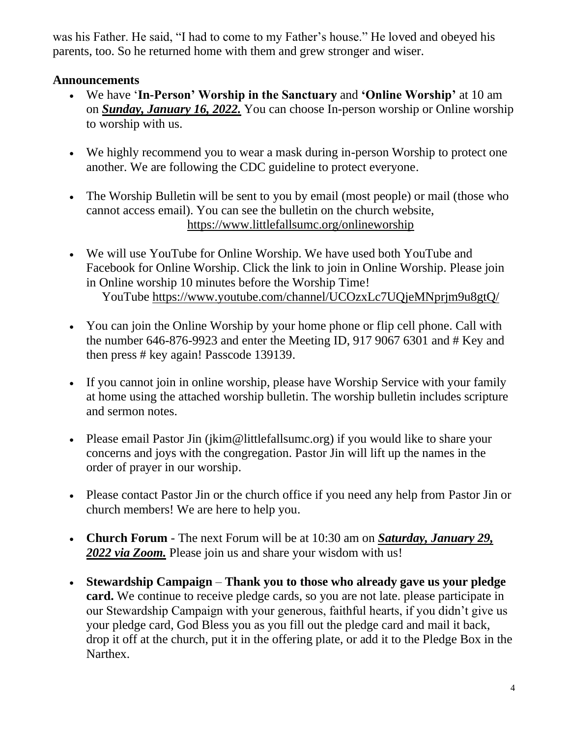was his Father. He said, "I had to come to my Father's house." He loved and obeyed his parents, too. So he returned home with them and grew stronger and wiser.

## **Announcements**

- We have '**In-Person' Worship in the Sanctuary** and **'Online Worship'** at 10 am on *Sunday, January 16, 2022.* You can choose In-person worship or Online worship to worship with us.
- We highly recommend you to wear a mask during in-person Worship to protect one another. We are following the CDC guideline to protect everyone.
- The Worship Bulletin will be sent to you by email (most people) or mail (those who cannot access email). You can see the bulletin on the church website, <https://www.littlefallsumc.org/onlineworship>
- We will use YouTube for Online Worship. We have used both YouTube and Facebook for Online Worship. Click the link to join in Online Worship. Please join in Online worship 10 minutes before the Worship Time! YouTube <https://www.youtube.com/channel/UCOzxLc7UQjeMNprjm9u8gtQ/>
- You can join the Online Worship by your home phone or flip cell phone. Call with the number 646-876-9923 and enter the Meeting ID, 917 9067 6301 and # Key and then press # key again! Passcode 139139.
- If you cannot join in online worship, please have Worship Service with your family at home using the attached worship bulletin. The worship bulletin includes scripture and sermon notes.
- Please email Pastor Jin (jkim@littlefallsumc.org) if you would like to share your concerns and joys with the congregation. Pastor Jin will lift up the names in the order of prayer in our worship.
- Please contact Pastor Jin or the church office if you need any help from Pastor Jin or church members! We are here to help you.
- **Church Forum** The next Forum will be at 10:30 am on *Saturday, January 29, 2022 via Zoom.* Please join us and share your wisdom with us!
- **Stewardship Campaign Thank you to those who already gave us your pledge card.** We continue to receive pledge cards, so you are not late. please participate in our Stewardship Campaign with your generous, faithful hearts, if you didn't give us your pledge card, God Bless you as you fill out the pledge card and mail it back, drop it off at the church, put it in the offering plate, or add it to the Pledge Box in the Narthex.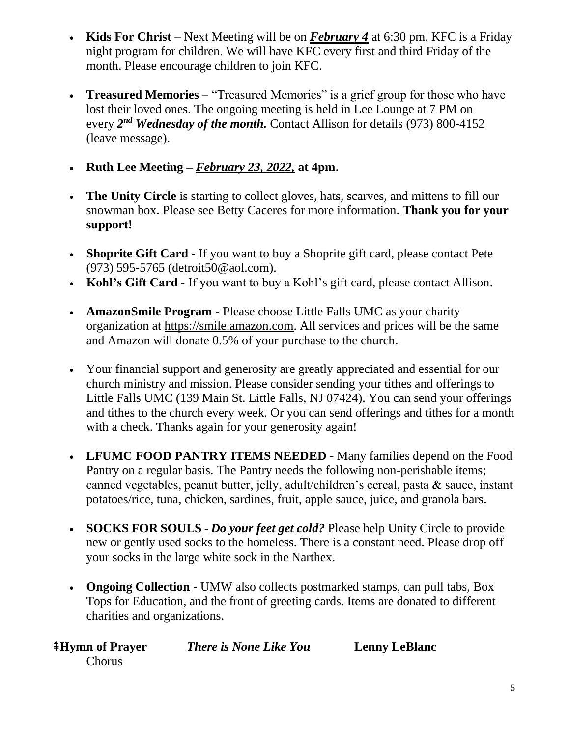- **Kids For Christ** Next Meeting will be on *February 4* at 6:30 pm. KFC is a Friday night program for children. We will have KFC every first and third Friday of the month. Please encourage children to join KFC.
- **Treasured Memories** "Treasured Memories" is a grief group for those who have lost their loved ones. The ongoing meeting is held in Lee Lounge at 7 PM on every 2<sup>nd</sup> Wednesday of the month. Contact Allison for details (973) 800-4152 (leave message).
- **Ruth Lee Meeting –** *February 23, 2022,* **at 4pm.**
- **The Unity Circle** is starting to collect gloves, hats, scarves, and mittens to fill our snowman box. Please see Betty Caceres for more information. **Thank you for your support!**
- **Shoprite Gift Card** If you want to buy a Shoprite gift card, please contact Pete (973) 595-5765 [\(detroit50@aol.com\)](mailto:detroit50@aol.com).
- **Kohl's Gift Card** If you want to buy a Kohl's gift card, please contact Allison.
- **AmazonSmile Program** Please choose Little Falls UMC as your charity organization at https://smile.amazon.com. All services and prices will be the same and Amazon will donate 0.5% of your purchase to the church.
- Your financial support and generosity are greatly appreciated and essential for our church ministry and mission. Please consider sending your tithes and offerings to Little Falls UMC (139 Main St. Little Falls, NJ 07424). You can send your offerings and tithes to the church every week. Or you can send offerings and tithes for a month with a check. Thanks again for your generosity again!
- LFUMC FOOD PANTRY ITEMS NEEDED Many families depend on the Food Pantry on a regular basis. The Pantry needs the following non-perishable items; canned vegetables, peanut butter, jelly, adult/children's cereal, pasta & sauce, instant potatoes/rice, tuna, chicken, sardines, fruit, apple sauce, juice, and granola bars.
- **SOCKS FOR SOULS** *Do your feet get cold?* Please help Unity Circle to provide new or gently used socks to the homeless. There is a constant need. Please drop off your socks in the large white sock in the Narthex.
- **Ongoing Collection** UMW also collects postmarked stamps, can pull tabs, Box Tops for Education, and the front of greeting cards. Items are donated to different charities and organizations.

| <b>‡Hymn of Prayer</b> |  |
|------------------------|--|
| Chorus                 |  |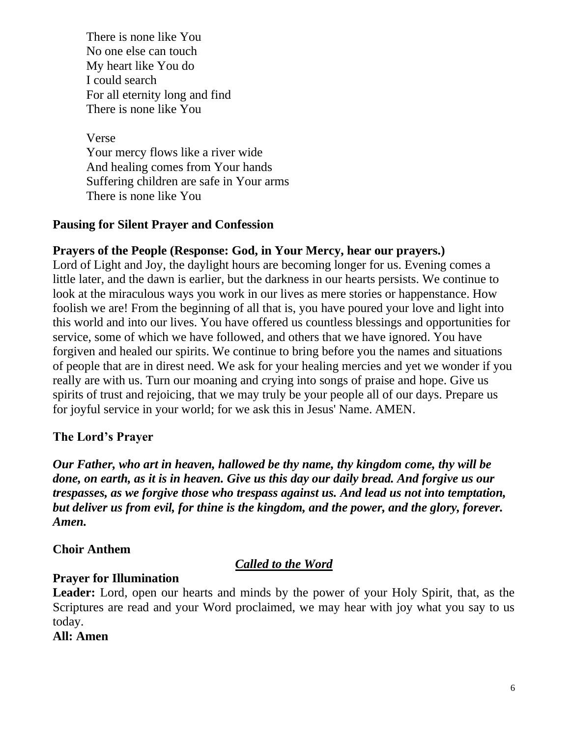There is none like You No one else can touch My heart like You do I could search For all eternity long and find There is none like You

Verse Your mercy flows like a river wide And healing comes from Your hands Suffering children are safe in Your arms There is none like You

## **Pausing for Silent Prayer and Confession**

## **Prayers of the People (Response: God, in Your Mercy, hear our prayers.)**

Lord of Light and Joy, the daylight hours are becoming longer for us. Evening comes a little later, and the dawn is earlier, but the darkness in our hearts persists. We continue to look at the miraculous ways you work in our lives as mere stories or happenstance. How foolish we are! From the beginning of all that is, you have poured your love and light into this world and into our lives. You have offered us countless blessings and opportunities for service, some of which we have followed, and others that we have ignored. You have forgiven and healed our spirits. We continue to bring before you the names and situations of people that are in direst need. We ask for your healing mercies and yet we wonder if you really are with us. Turn our moaning and crying into songs of praise and hope. Give us spirits of trust and rejoicing, that we may truly be your people all of our days. Prepare us for joyful service in your world; for we ask this in Jesus' Name. AMEN.

#### **The Lord's Prayer**

*Our Father, who art in heaven, hallowed be thy name, thy kingdom come, thy will be done, on earth, as it is in heaven. Give us this day our daily bread. And forgive us our trespasses, as we forgive those who trespass against us. And lead us not into temptation, but deliver us from evil, for thine is the kingdom, and the power, and the glory, forever. Amen.*

#### **Choir Anthem**

#### *Called to the Word*

#### **Prayer for Illumination**

**Leader:** Lord, open our hearts and minds by the power of your Holy Spirit, that, as the Scriptures are read and your Word proclaimed, we may hear with joy what you say to us today.

#### **All: Amen**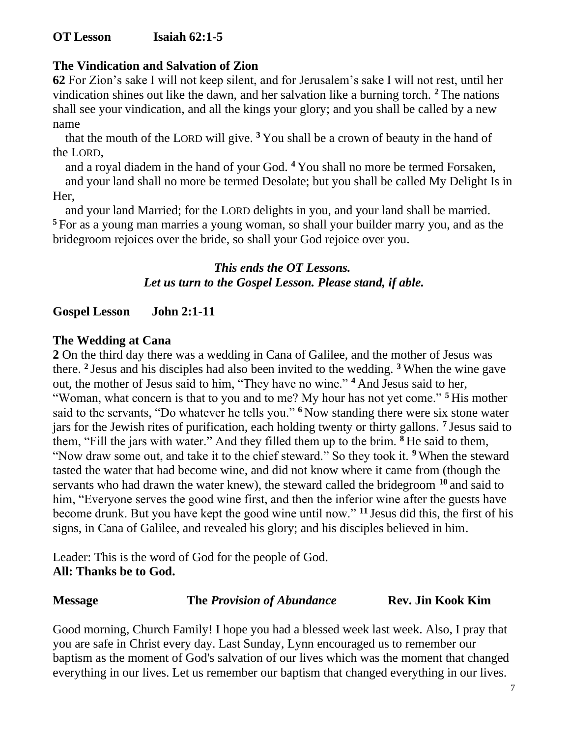## **The Vindication and Salvation of Zion**

**62** For Zion's sake I will not keep silent, and for Jerusalem's sake I will not rest, until her vindication shines out like the dawn, and her salvation like a burning torch. **<sup>2</sup>** The nations shall see your vindication, and all the kings your glory; and you shall be called by a new name

that the mouth of the LORD will give. **<sup>3</sup>** You shall be a crown of beauty in the hand of the LORD,

and a royal diadem in the hand of your God. **<sup>4</sup>** You shall no more be termed Forsaken, and your land shall no more be termed Desolate; but you shall be called My Delight Is in Her,

and your land Married; for the LORD delights in you, and your land shall be married. **<sup>5</sup>** For as a young man marries a young woman, so shall your builder marry you, and as the bridegroom rejoices over the bride, so shall your God rejoice over you.

## *This ends the OT Lessons. Let us turn to the Gospel Lesson. Please stand, if able.*

## **Gospel Lesson John 2:1-11**

## **The Wedding at Cana**

**2** On the third day there was a wedding in Cana of Galilee, and the mother of Jesus was there. **<sup>2</sup>** Jesus and his disciples had also been invited to the wedding. **<sup>3</sup>** When the wine gave out, the mother of Jesus said to him, "They have no wine." **<sup>4</sup>** And Jesus said to her, "Woman, what concern is that to you and to me? My hour has not yet come." **<sup>5</sup>** His mother said to the servants, "Do whatever he tells you." **<sup>6</sup>** Now standing there were six stone water jars for the Jewish rites of purification, each holding twenty or thirty gallons. **<sup>7</sup>** Jesus said to them, "Fill the jars with water." And they filled them up to the brim. **<sup>8</sup>** He said to them, "Now draw some out, and take it to the chief steward." So they took it. **<sup>9</sup>** When the steward tasted the water that had become wine, and did not know where it came from (though the servants who had drawn the water knew), the steward called the bridegroom **<sup>10</sup>** and said to him, "Everyone serves the good wine first, and then the inferior wine after the guests have become drunk. But you have kept the good wine until now." **<sup>11</sup>** Jesus did this, the first of his signs, in Cana of Galilee, and revealed his glory; and his disciples believed in him.

Leader: This is the word of God for the people of God. **All: Thanks be to God.**

## **Message The** *Provision of Abundance* **Rev. Jin Kook Kim**

Good morning, Church Family! I hope you had a blessed week last week. Also, I pray that you are safe in Christ every day. Last Sunday, Lynn encouraged us to remember our baptism as the moment of God's salvation of our lives which was the moment that changed everything in our lives. Let us remember our baptism that changed everything in our lives.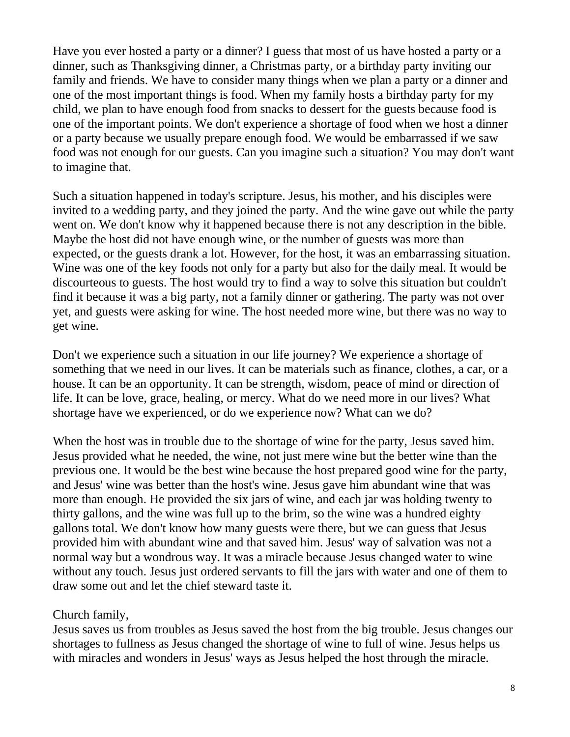Have you ever hosted a party or a dinner? I guess that most of us have hosted a party or a dinner, such as Thanksgiving dinner, a Christmas party, or a birthday party inviting our family and friends. We have to consider many things when we plan a party or a dinner and one of the most important things is food. When my family hosts a birthday party for my child, we plan to have enough food from snacks to dessert for the guests because food is one of the important points. We don't experience a shortage of food when we host a dinner or a party because we usually prepare enough food. We would be embarrassed if we saw food was not enough for our guests. Can you imagine such a situation? You may don't want to imagine that.

Such a situation happened in today's scripture. Jesus, his mother, and his disciples were invited to a wedding party, and they joined the party. And the wine gave out while the party went on. We don't know why it happened because there is not any description in the bible. Maybe the host did not have enough wine, or the number of guests was more than expected, or the guests drank a lot. However, for the host, it was an embarrassing situation. Wine was one of the key foods not only for a party but also for the daily meal. It would be discourteous to guests. The host would try to find a way to solve this situation but couldn't find it because it was a big party, not a family dinner or gathering. The party was not over yet, and guests were asking for wine. The host needed more wine, but there was no way to get wine.

Don't we experience such a situation in our life journey? We experience a shortage of something that we need in our lives. It can be materials such as finance, clothes, a car, or a house. It can be an opportunity. It can be strength, wisdom, peace of mind or direction of life. It can be love, grace, healing, or mercy. What do we need more in our lives? What shortage have we experienced, or do we experience now? What can we do?

When the host was in trouble due to the shortage of wine for the party, Jesus saved him. Jesus provided what he needed, the wine, not just mere wine but the better wine than the previous one. It would be the best wine because the host prepared good wine for the party, and Jesus' wine was better than the host's wine. Jesus gave him abundant wine that was more than enough. He provided the six jars of wine, and each jar was holding twenty to thirty gallons, and the wine was full up to the brim, so the wine was a hundred eighty gallons total. We don't know how many guests were there, but we can guess that Jesus provided him with abundant wine and that saved him. Jesus' way of salvation was not a normal way but a wondrous way. It was a miracle because Jesus changed water to wine without any touch. Jesus just ordered servants to fill the jars with water and one of them to draw some out and let the chief steward taste it.

Church family,

Jesus saves us from troubles as Jesus saved the host from the big trouble. Jesus changes our shortages to fullness as Jesus changed the shortage of wine to full of wine. Jesus helps us with miracles and wonders in Jesus' ways as Jesus helped the host through the miracle.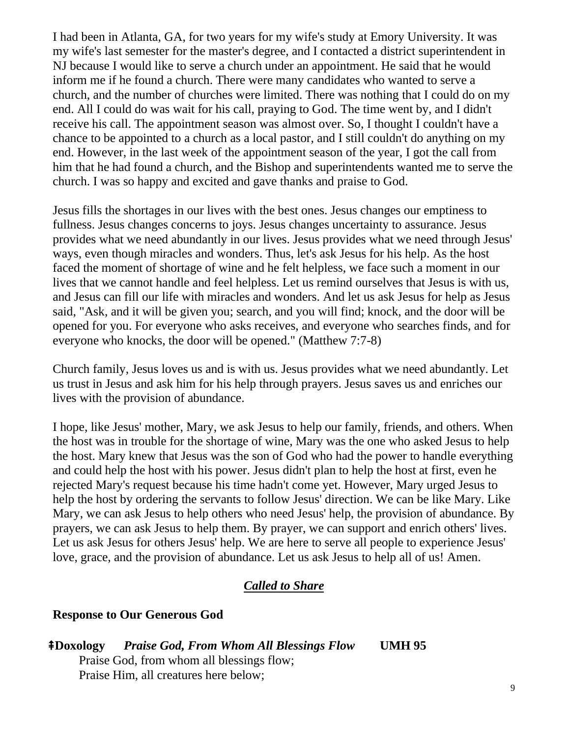I had been in Atlanta, GA, for two years for my wife's study at Emory University. It was my wife's last semester for the master's degree, and I contacted a district superintendent in NJ because I would like to serve a church under an appointment. He said that he would inform me if he found a church. There were many candidates who wanted to serve a church, and the number of churches were limited. There was nothing that I could do on my end. All I could do was wait for his call, praying to God. The time went by, and I didn't receive his call. The appointment season was almost over. So, I thought I couldn't have a chance to be appointed to a church as a local pastor, and I still couldn't do anything on my end. However, in the last week of the appointment season of the year, I got the call from him that he had found a church, and the Bishop and superintendents wanted me to serve the church. I was so happy and excited and gave thanks and praise to God.

Jesus fills the shortages in our lives with the best ones. Jesus changes our emptiness to fullness. Jesus changes concerns to joys. Jesus changes uncertainty to assurance. Jesus provides what we need abundantly in our lives. Jesus provides what we need through Jesus' ways, even though miracles and wonders. Thus, let's ask Jesus for his help. As the host faced the moment of shortage of wine and he felt helpless, we face such a moment in our lives that we cannot handle and feel helpless. Let us remind ourselves that Jesus is with us, and Jesus can fill our life with miracles and wonders. And let us ask Jesus for help as Jesus said, "Ask, and it will be given you; search, and you will find; knock, and the door will be opened for you. For everyone who asks receives, and everyone who searches finds, and for everyone who knocks, the door will be opened." (Matthew 7:7-8)

Church family, Jesus loves us and is with us. Jesus provides what we need abundantly. Let us trust in Jesus and ask him for his help through prayers. Jesus saves us and enriches our lives with the provision of abundance.

I hope, like Jesus' mother, Mary, we ask Jesus to help our family, friends, and others. When the host was in trouble for the shortage of wine, Mary was the one who asked Jesus to help the host. Mary knew that Jesus was the son of God who had the power to handle everything and could help the host with his power. Jesus didn't plan to help the host at first, even he rejected Mary's request because his time hadn't come yet. However, Mary urged Jesus to help the host by ordering the servants to follow Jesus' direction. We can be like Mary. Like Mary, we can ask Jesus to help others who need Jesus' help, the provision of abundance. By prayers, we can ask Jesus to help them. By prayer, we can support and enrich others' lives. Let us ask Jesus for others Jesus' help. We are here to serve all people to experience Jesus' love, grace, and the provision of abundance. Let us ask Jesus to help all of us! Amen.

#### *Called to Share*

#### **Response to Our Generous God**

⭻**Doxology** *Praise God, From Whom All Blessings Flow* **UMH 95**

Praise God, from whom all blessings flow; Praise Him, all creatures here below;